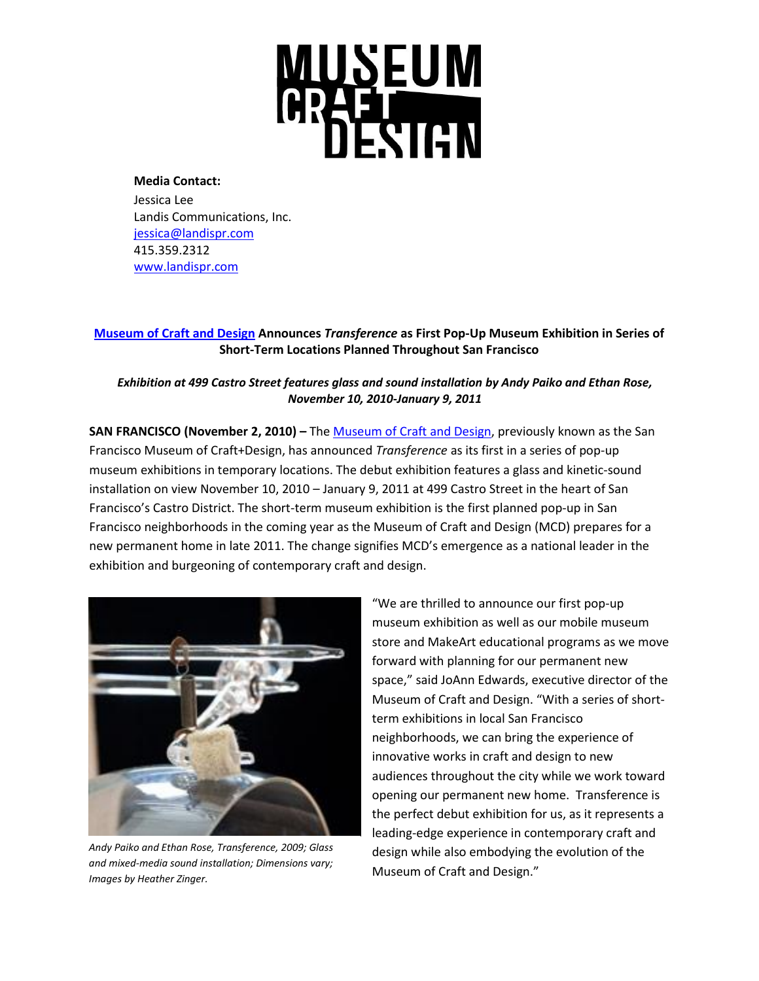# **MUSEUM<br>ARABICUM**<br>DESIGN

**Media Contact:**

Jessica Lee Landis Communications, Inc. [jessica@landispr.com](mailto:jessica@landispr.com) 415.359.2312 [www.landispr.com](http://www.landispr.com/)

# **[Museum of Craft and Design](http://www.sfmcd.org/) Announces** *Transference* **as First Pop-Up Museum Exhibition in Series of Short-Term Locations Planned Throughout San Francisco**

# *Exhibition at 499 Castro Street features glass and sound installation by Andy Paiko and Ethan Rose, November 10, 2010-January 9, 2011*

**SAN FRANCISCO (November 2, 2010) –** Th[e Museum of Craft](http://www.sfmcd.org/) and Design, previously known as the San Francisco Museum of Craft+Design, has announced *Transference* as its first in a series of pop-up museum exhibitions in temporary locations. The debut exhibition features a glass and kinetic-sound installation on view November 10, 2010 – January 9, 2011 at 499 Castro Street in the heart of San Francisco's Castro District. The short-term museum exhibition is the first planned pop-up in San Francisco neighborhoods in the coming year as the Museum of Craft and Design (MCD) prepares for a new permanent home in late 2011. The change signifies MCD's emergence as a national leader in the exhibition and burgeoning of contemporary craft and design.



*Andy Paiko and Ethan Rose, Transference, 2009; Glass and mixed-media sound installation; Dimensions vary; Images by Heather Zinger.*

"We are thrilled to announce our first pop-up museum exhibition as well as our mobile museum store and MakeArt educational programs as we move forward with planning for our permanent new space," said JoAnn Edwards, executive director of the Museum of Craft and Design. "With a series of shortterm exhibitions in local San Francisco neighborhoods, we can bring the experience of innovative works in craft and design to new audiences throughout the city while we work toward opening our permanent new home. Transference is the perfect debut exhibition for us, as it represents a leading-edge experience in contemporary craft and design while also embodying the evolution of the Museum of Craft and Design."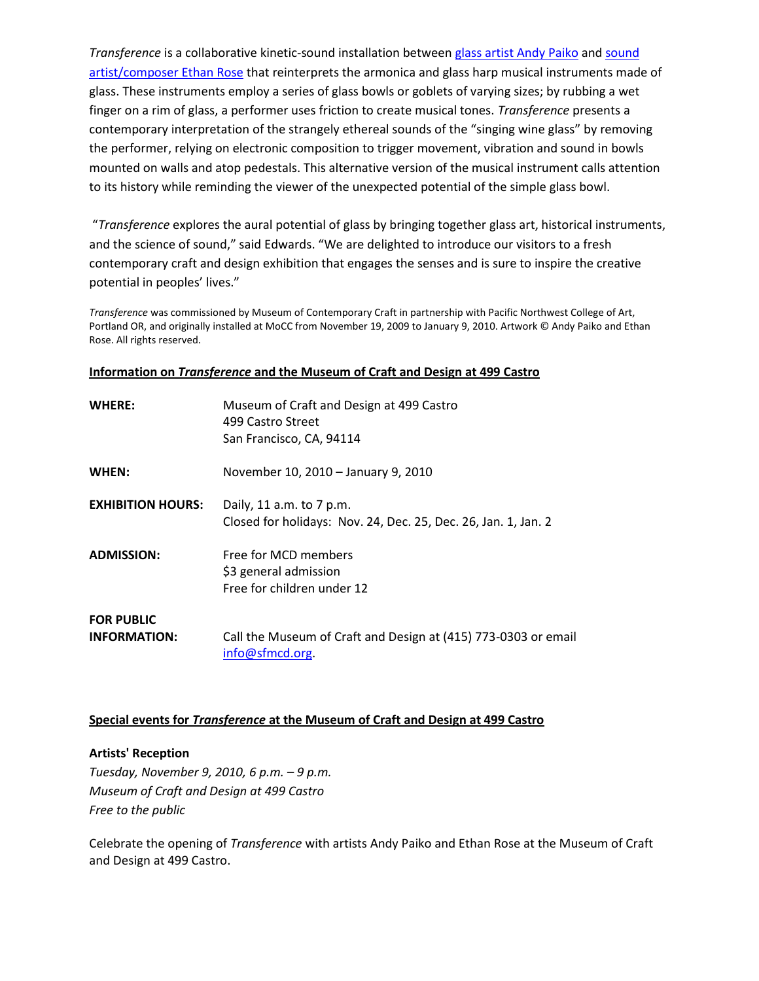*Transference* is a collaborative kinetic-sound installation between [glass artist Andy Paiko](http://www.andypaikoglass.com/) an[d sound](http://www.ethanrosemusic.com/)  [artist/composer Ethan Rose](http://www.ethanrosemusic.com/) that reinterprets the armonica and glass harp musical instruments made of glass. These instruments employ a series of glass bowls or goblets of varying sizes; by rubbing a wet finger on a rim of glass, a performer uses friction to create musical tones. *Transference* presents a contemporary interpretation of the strangely ethereal sounds of the "singing wine glass" by removing the performer, relying on electronic composition to trigger movement, vibration and sound in bowls mounted on walls and atop pedestals. This alternative version of the musical instrument calls attention to its history while reminding the viewer of the unexpected potential of the simple glass bowl.

"*Transference* explores the aural potential of glass by bringing together glass art, historical instruments, and the science of sound," said Edwards. "We are delighted to introduce our visitors to a fresh contemporary craft and design exhibition that engages the senses and is sure to inspire the creative potential in peoples' lives."

*Transference* was commissioned by Museum of Contemporary Craft in partnership with Pacific Northwest College of Art, Portland OR, and originally installed at MoCC from November 19, 2009 to January 9, 2010. Artwork © Andy Paiko and Ethan Rose. All rights reserved.

|--|

| <b>WHERE:</b>                            | Museum of Craft and Design at 499 Castro<br>499 Castro Street<br>San Francisco, CA, 94114  |
|------------------------------------------|--------------------------------------------------------------------------------------------|
| WHEN:                                    | November 10, 2010 - January 9, 2010                                                        |
| <b>EXHIBITION HOURS:</b>                 | Daily, 11 a.m. to 7 p.m.<br>Closed for holidays: Nov. 24, Dec. 25, Dec. 26, Jan. 1, Jan. 2 |
| <b>ADMISSION:</b>                        | Free for MCD members<br>\$3 general admission<br>Free for children under 12                |
| <b>FOR PUBLIC</b><br><b>INFORMATION:</b> | Call the Museum of Craft and Design at (415) 773-0303 or email<br>info@sfmcd.org.          |

# **Special events for** *Transference* **at the Museum of Craft and Design at 499 Castro**

# **Artists' Reception**

*Tuesday, November 9, 2010, 6 p.m. – 9 p.m. Museum of Craft and Design at 499 Castro Free to the public*

Celebrate the opening of *Transference* with artists Andy Paiko and Ethan Rose at the Museum of Craft and Design at 499 Castro.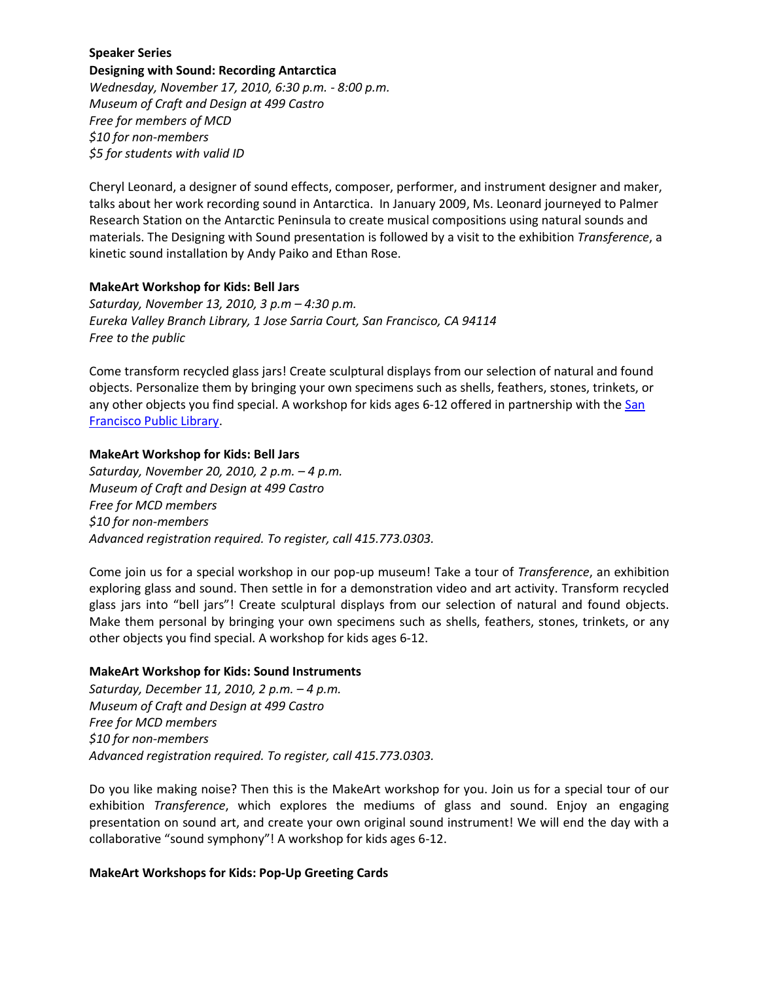# **Speaker Series Designing with Sound: Recording Antarctica** *Wednesday, November 17, 2010, 6:30 p.m. - 8:00 p.m. Museum of Craft and Design at 499 Castro Free for members of MCD \$10 for non-members \$5 for students with valid ID*

Cheryl Leonard, a designer of sound effects, composer, performer, and instrument designer and maker, talks about her work recording sound in Antarctica. In January 2009, Ms. Leonard journeyed to Palmer Research Station on the Antarctic Peninsula to create musical compositions using natural sounds and materials. The Designing with Sound presentation is followed by a visit to the exhibition *Transference*, a kinetic sound installation by Andy Paiko and Ethan Rose.

#### **MakeArt Workshop for Kids: Bell Jars**

*Saturday, November 13, 2010, 3 p.m – 4:30 p.m. Eureka Valley Branch Library, 1 Jose Sarria Court, San Francisco, CA 94114 Free to the public*

Come transform recycled glass jars! Create sculptural displays from our selection of natural and found objects. Personalize them by bringing your own specimens such as shells, feathers, stones, trinkets, or any other objects you find special. A workshop for kids ages 6-12 offered in partnership with the San [Francisco Public Library.](sfpl.org)

#### **MakeArt Workshop for Kids: Bell Jars**

*Saturday, November 20, 2010, 2 p.m. – 4 p.m. Museum of Craft and Design at 499 Castro Free for MCD members \$10 for non-members Advanced registration required. To register, call 415.773.0303.*

Come join us for a special workshop in our pop-up museum! Take a tour of *Transference*, an exhibition exploring glass and sound. Then settle in for a demonstration video and art activity. Transform recycled glass jars into "bell jars"! Create sculptural displays from our selection of natural and found objects. Make them personal by bringing your own specimens such as shells, feathers, stones, trinkets, or any other objects you find special. A workshop for kids ages 6-12.

# **MakeArt Workshop for Kids: Sound Instruments**

*Saturday, December 11, 2010, 2 p.m. – 4 p.m. Museum of Craft and Design at 499 Castro Free for MCD members \$10 for non-members Advanced registration required. To register, call 415.773.0303.*

Do you like making noise? Then this is the MakeArt workshop for you. Join us for a special tour of our exhibition *Transference*, which explores the mediums of glass and sound. Enjoy an engaging presentation on sound art, and create your own original sound instrument! We will end the day with a collaborative "sound symphony"! A workshop for kids ages 6-12.

# **MakeArt Workshops for Kids: Pop-Up Greeting Cards**